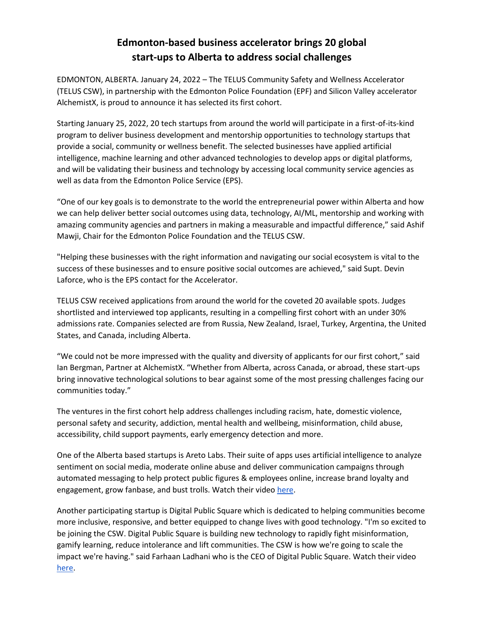# **Edmonton-based business accelerator brings 20 global start-ups to Alberta to address social challenges**

EDMONTON, ALBERTA. January 24, 2022 – The TELUS Community Safety and Wellness Accelerator (TELUS CSW), in partnership with the Edmonton Police Foundation (EPF) and Silicon Valley accelerator AlchemistX, is proud to announce it has selected its first cohort.

Starting January 25, 2022, 20 tech startups from around the world will participate in a first-of-its-kind program to deliver business development and mentorship opportunities to technology startups that provide a social, community or wellness benefit. The selected businesses have applied artificial intelligence, machine learning and other advanced technologies to develop apps or digital platforms, and will be validating their business and technology by accessing local community service agencies as well as data from the Edmonton Police Service (EPS).

"One of our key goals is to demonstrate to the world the entrepreneurial power within Alberta and how we can help deliver better social outcomes using data, technology, AI/ML, mentorship and working with amazing community agencies and partners in making a measurable and impactful difference," said Ashif Mawji, Chair for the Edmonton Police Foundation and the TELUS CSW.

"Helping these businesses with the right information and navigating our social ecosystem is vital to the success of these businesses and to ensure positive social outcomes are achieved," said Supt. Devin Laforce, who is the EPS contact for the Accelerator.

TELUS CSW received applications from around the world for the coveted 20 available spots. Judges shortlisted and interviewed top applicants, resulting in a compelling first cohort with an under 30% admissions rate. Companies selected are from Russia, New Zealand, Israel, Turkey, Argentina, the United States, and Canada, including Alberta.

"We could not be more impressed with the quality and diversity of applicants for our first cohort," said Ian Bergman, Partner at AlchemistX. "Whether from Alberta, across Canada, or abroad, these start-ups bring innovative technological solutions to bear against some of the most pressing challenges facing our communities today."

The ventures in the first cohort help address challenges including racism, hate, domestic violence, personal safety and security, addiction, mental health and wellbeing, misinformation, child abuse, accessibility, child support payments, early emergency detection and more.

One of the Alberta based startups is Areto Labs. Their suite of apps uses artificial intelligence to analyze sentiment on social media, moderate online abuse and deliver communication campaigns through automated messaging to help protect public figures & employees online, increase brand loyalty and engagement, grow fanbase, and bust trolls. Watch their video [here.](https://drive.google.com/file/d/1XILbf4BtjRGueCM8b5vy4IJoYIzyibEA/view?usp=sharing)

Another participating startup is Digital Public Square which is dedicated to helping communities become more inclusive, responsive, and better equipped to change lives with good technology. "I'm so excited to be joining the CSW. Digital Public Square is building new technology to rapidly fight misinformation, gamify learning, reduce intolerance and lift communities. The CSW is how we're going to scale the impact we're having." said Farhaan Ladhani who is the CEO of Digital Public Square. Watch their vide[o](https://drive.google.com/file/d/1R5DLkcbU-9RPO9gRdmMqzaYBU8sFjiB9/view?usp=sharing) [here.](https://drive.google.com/file/d/1R5DLkcbU-9RPO9gRdmMqzaYBU8sFjiB9/view?usp=sharing)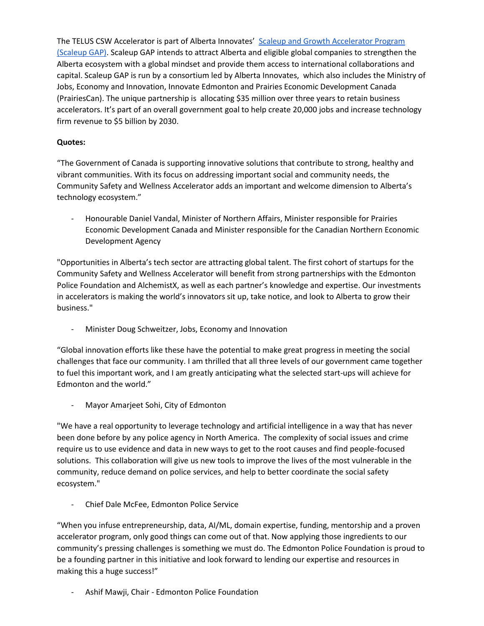The TELUS CSW Accelerator is part of Alberta Innovates' [Scaleup and Growth Accelerator Program](https://albertainnovates.ca/programs/alberta-scaleup-and-growth-accelerators-program/)  [\(Scaleup GAP\).](https://albertainnovates.ca/programs/alberta-scaleup-and-growth-accelerators-program/) Scaleup GAP intends to attract Alberta and eligible global companies to strengthen the Alberta ecosystem with a global mindset and provide them access to international collaborations and capital. Scaleup GAP is run by a consortium led by Alberta Innovates, which also includes the Ministry of Jobs, Economy and Innovation, Innovate Edmonton and Prairies Economic Development Canada (PrairiesCan). The unique partnership is allocating \$35 million over three years to retain business accelerators. It's part of an overall government goal to help create 20,000 jobs and increase technology firm revenue to \$5 billion by 2030.

# **Quotes:**

"The Government of Canada is supporting innovative solutions that contribute to strong, healthy and vibrant communities. With its focus on addressing important social and community needs, the Community Safety and Wellness Accelerator adds an important and welcome dimension to Alberta's technology ecosystem."

- Honourable Daniel Vandal, Minister of Northern Affairs, Minister responsible for Prairies Economic Development Canada and Minister responsible for the Canadian Northern Economic Development Agency

"Opportunities in Alberta's tech sector are attracting global talent. The first cohort of startups for the Community Safety and Wellness Accelerator will benefit from strong partnerships with the Edmonton Police Foundation and AlchemistX, as well as each partner's knowledge and expertise. Our investments in accelerators is making the world's innovators sit up, take notice, and look to Alberta to grow their business."

- Minister Doug Schweitzer, Jobs, Economy and Innovation

"Global innovation efforts like these have the potential to make great progress in meeting the social challenges that face our community. I am thrilled that all three levels of our government came together to fuel this important work, and I am greatly anticipating what the selected start-ups will achieve for Edmonton and the world."

Mayor Amarjeet Sohi, City of Edmonton

"We have a real opportunity to leverage technology and artificial intelligence in a way that has never been done before by any police agency in North America. The complexity of social issues and crime require us to use evidence and data in new ways to get to the root causes and find people-focused solutions. This collaboration will give us new tools to improve the lives of the most vulnerable in the community, reduce demand on police services, and help to better coordinate the social safety ecosystem."

- Chief Dale McFee, Edmonton Police Service

"When you infuse entrepreneurship, data, AI/ML, domain expertise, funding, mentorship and a proven accelerator program, only good things can come out of that. Now applying those ingredients to our community's pressing challenges is something we must do. The Edmonton Police Foundation is proud to be a founding partner in this initiative and look forward to lending our expertise and resources in making this a huge success!"

- Ashif Mawji, Chair - Edmonton Police Foundation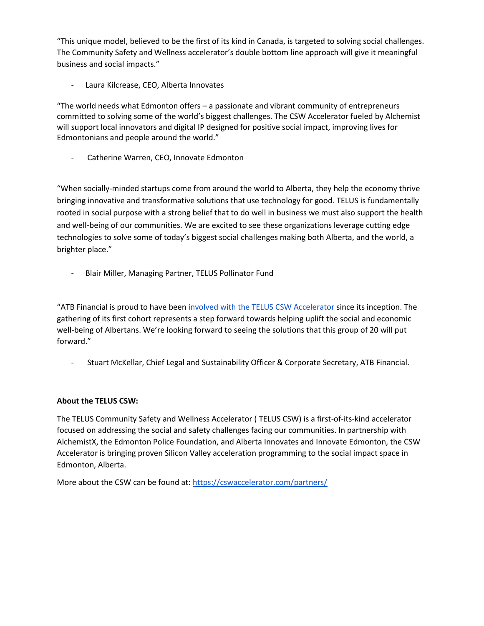"This unique model, believed to be the first of its kind in Canada, is targeted to solving social challenges. The Community Safety and Wellness accelerator's double bottom line approach will give it meaningful business and social impacts."

Laura Kilcrease, CEO, Alberta Innovates

"The world needs what Edmonton offers – a passionate and vibrant community of entrepreneurs committed to solving some of the world's biggest challenges. The CSW Accelerator fueled by Alchemist will support local innovators and digital IP designed for positive social impact, improving lives for Edmontonians and people around the world."

Catherine Warren, CEO, Innovate Edmonton

"When socially-minded startups come from around the world to Alberta, they help the economy thrive bringing innovative and transformative solutions that use technology for good. TELUS is fundamentally rooted in social purpose with a strong belief that to do well in business we must also support the health and well-being of our communities. We are excited to see these organizations leverage cutting edge technologies to solve some of today's biggest social challenges making both Alberta, and the world, a brighter place."

- Blair Miller, Managing Partner, TELUS Pollinator Fund

"ATB Financial is proud to have been [involved with the TELUS CSW Accelerator](https://www.atb.com/company/news/stories/community-safety-and-wellness-accelerator-to-drive-social-change-in-alberta/) since its inception. The gathering of its first cohort represents a step forward towards helping uplift the social and economic well-being of Albertans. We're looking forward to seeing the solutions that this group of 20 will put forward."

- Stuart McKellar, Chief Legal and Sustainability Officer & Corporate Secretary, ATB Financial.

#### **About the TELUS CSW:**

The TELUS Community Safety and Wellness Accelerator ( TELUS CSW) is a first-of-its-kind accelerator focused on addressing the social and safety challenges facing our communities. In partnership with AlchemistX, the Edmonton Police Foundation, and Alberta Innovates and Innovate Edmonton, the CSW Accelerator is bringing proven Silicon Valley acceleration programming to the social impact space in Edmonton, Alberta.

More about the CSW can be found at[: https://cswaccelerator.com/partners/](https://cswaccelerator.com/partners/)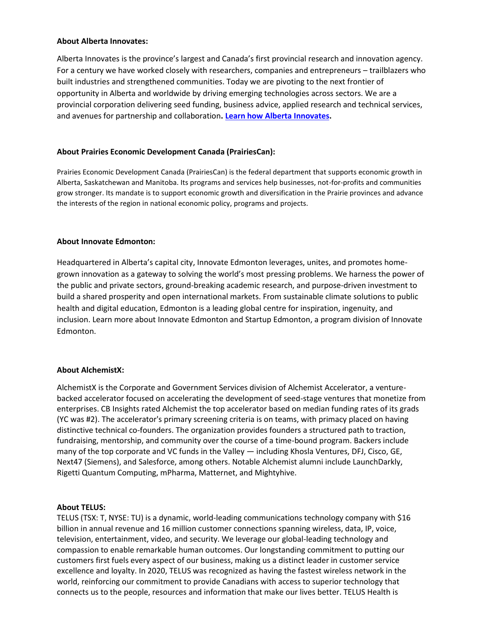#### **About Alberta Innovates:**

Alberta Innovates is the province's largest and Canada's first provincial research and innovation agency. For a century we have worked closely with researchers, companies and entrepreneurs – trailblazers who built industries and strengthened communities. Today we are pivoting to the next frontier of opportunity in Alberta and worldwide by driving emerging technologies across sectors. We are a provincial corporation delivering seed funding, business advice, applied research and technical services, and avenues for partnership and collaboration**. [Learn how Alberta Innovates.](https://albertainnovates.ca/)**

# **About Prairies Economic Development Canada (PrairiesCan):**

Prairies Economic Development Canada (PrairiesCan) is the federal department that supports economic growth in Alberta, Saskatchewan and Manitoba. Its programs and services help businesses, not-for-profits and communities grow stronger. Its mandate is to support economic growth and diversification in the Prairie provinces and advance the interests of the region in national economic policy, programs and projects.

#### **About Innovate Edmonton:**

Headquartered in Alberta's capital city, Innovate Edmonton leverages, unites, and promotes homegrown innovation as a gateway to solving the world's most pressing problems. We harness the power of the public and private sectors, ground-breaking academic research, and purpose-driven investment to build a shared prosperity and open international markets. From sustainable climate solutions to public health and digital education, Edmonton is a leading global centre for inspiration, ingenuity, and inclusion. Learn more abou[t Innovate Edmonton](https://urldefense.com/v3/__https:/innovateedmonton.com/__;!!KWSH4Uiub072P3-b!KMkhfVXlB2XokGUBN8YgNz4iU8ddpS6vW8cTB-cak-VRr1D2AXWpEkGbixqVsdFqKtH0nkBSoYqp$) and [Startup Edmonton,](https://urldefense.com/v3/__https:/www.startupedmonton.com/__;!!KWSH4Uiub072P3-b!KMkhfVXlB2XokGUBN8YgNz4iU8ddpS6vW8cTB-cak-VRr1D2AXWpEkGbixqVsdFqKtH0ngfhVvVC$) a program division of Innovate Edmonton.

#### **About AlchemistX:**

AlchemistX is the Corporate and Government Services division of Alchemist Accelerator, a venturebacked accelerator focused on accelerating the development of seed-stage ventures that monetize from enterprises. CB Insights rated Alchemist the top accelerator based on median funding rates of its grads (YC was #2). The accelerator's primary screening criteria is on teams, with primacy placed on having distinctive technical co-founders. The organization provides founders a structured path to traction, fundraising, mentorship, and community over the course of a time-bound program. Backers include many of the top corporate and VC funds in the Valley — including Khosla Ventures, DFJ, Cisco, GE, Next47 (Siemens), and Salesforce, among others. Notable Alchemist alumni include LaunchDarkly, Rigetti Quantum Computing, mPharma, Matternet, and Mightyhive.

#### **About TELUS:**

TELUS (TSX: T, NYSE: TU) is a dynamic, world-leading communications technology company with \$16 billion in annual revenue and 16 million customer connections spanning wireless, data, IP, voice, television, entertainment, video, and security. We leverage our global-leading technology and compassion to enable remarkable human outcomes. Our longstanding commitment to putting our customers first fuels every aspect of our business, making us a distinct leader in customer service excellence and loyalty. In 2020, TELUS was recognized as having the fastest wireless network in the world, reinforcing our commitment to provide Canadians with access to superior technology that connects us to the people, resources and information that make our lives better. TELUS Health is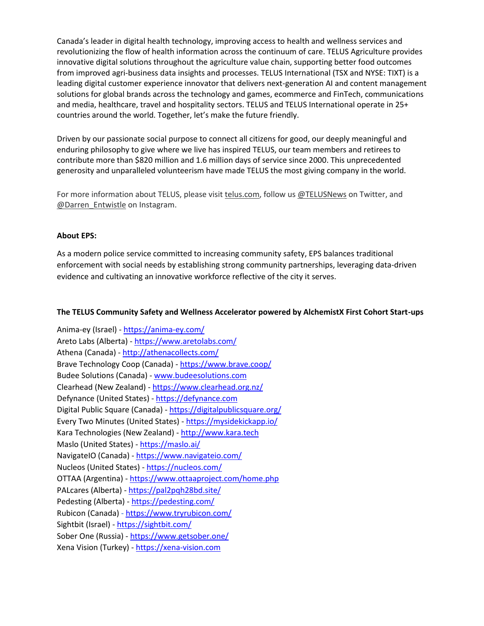Canada's leader in digital health technology, improving access to health and wellness services and revolutionizing the flow of health information across the continuum of care. TELUS Agriculture provides innovative digital solutions throughout the agriculture value chain, supporting better food outcomes from improved agri-business data insights and processes. TELUS International (TSX and NYSE: TIXT) is a leading digital customer experience innovator that delivers next-generation AI and content management solutions for global brands across the technology and games, ecommerce and FinTech, communications and media, healthcare, travel and hospitality sectors. TELUS and TELUS International operate in 25+ countries around the world. Together, let's make the future friendly.

Driven by our passionate social purpose to connect all citizens for good, our deeply meaningful and enduring philosophy to give where we live has inspired TELUS, our team members and retirees to contribute more than \$820 million and 1.6 million days of service since 2000. This unprecedented generosity and unparalleled volunteerism have made TELUS the most giving company in the world.

For more information about TELUS, please visit [telus.com,](https://www.telus.com/en/) follow u[s @TELUSNews](https://twitter.com/telusnews?lang=en) on Twitter, and [@Darren\\_Entwistle](https://www.instagram.com/darren_entwistle/?hl=en) on Instagram.

# **About EPS:**

As a modern police service committed to increasing community safety, EPS balances traditional enforcement with social needs by establishing strong community partnerships, leveraging data-driven evidence and cultivating an innovative workforce reflective of the city it serves.

## **The TELUS Community Safety and Wellness Accelerator powered by AlchemistX First Cohort Start-ups**

Anima-ey (Israel) - <https://anima-ey.com/> Areto Labs (Alberta) - <https://www.aretolabs.com/> Athena (Canada) - <http://athenacollects.com/> Brave Technology Coop (Canada) - <https://www.brave.coop/> Budee Solutions (Canada) - [www.budeesolutions.com](http://www.budeesolutions.com/)  Clearhead (New Zealand) - <https://www.clearhead.org.nz/> Defynance (United States) - [https://defynance.com](https://defynance.com/) Digital Public Square (Canada) - <https://digitalpublicsquare.org/> Every Two Minutes (United States) - <https://mysidekickapp.io/> Kara Technologies (New Zealand) - [http://www.kara.tech](http://www.kara.tech/) Maslo (United States) - <https://maslo.ai/> NavigateIO (Canada) - <https://www.navigateio.com/> Nucleos (United States) - <https://nucleos.com/> OTTAA (Argentina) - <https://www.ottaaproject.com/home.php> PALcares (Alberta) - <https://pal2pqh28bd.site/> Pedesting (Alberta) - <https://pedesting.com/> Rubicon (Canada) - <https://www.tryrubicon.com/> Sightbit (Israel) - <https://sightbit.com/> Sober One (Russia) - <https://www.getsober.one/> Xena Vision (Turkey) - [https://xena-vision.com](https://xena-vision.com/)